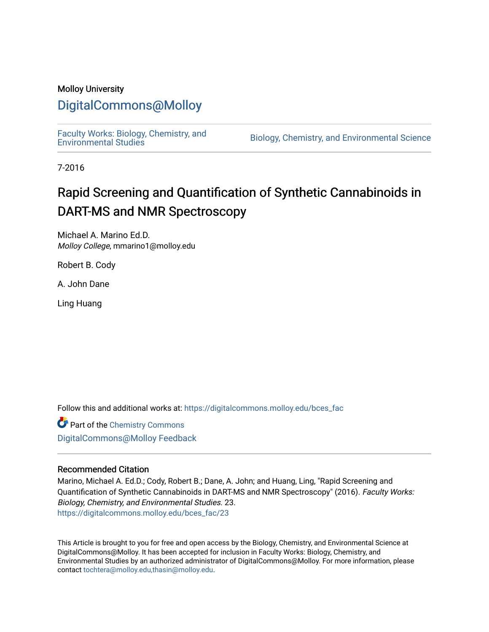# Molloy University

# [DigitalCommons@Molloy](https://digitalcommons.molloy.edu/)

[Faculty Works: Biology, Chemistry, and](https://digitalcommons.molloy.edu/bces_fac) 

Biology, Chemistry, and Environmental Science

7-2016

# Rapid Screening and Quantification of Synthetic Cannabinoids in DART-MS and NMR Spectroscopy

Michael A. Marino Ed.D. Molloy College, mmarino1@molloy.edu

Robert B. Cody

A. John Dane

Ling Huang

Follow this and additional works at: [https://digitalcommons.molloy.edu/bces\\_fac](https://digitalcommons.molloy.edu/bces_fac?utm_source=digitalcommons.molloy.edu%2Fbces_fac%2F23&utm_medium=PDF&utm_campaign=PDFCoverPages)

**Part of the Chemistry Commons** [DigitalCommons@Molloy Feedback](https://molloy.libwizard.com/f/dcfeedback)

# Recommended Citation

Marino, Michael A. Ed.D.; Cody, Robert B.; Dane, A. John; and Huang, Ling, "Rapid Screening and Quantification of Synthetic Cannabinoids in DART-MS and NMR Spectroscopy" (2016). Faculty Works: Biology, Chemistry, and Environmental Studies. 23. [https://digitalcommons.molloy.edu/bces\\_fac/23](https://digitalcommons.molloy.edu/bces_fac/23?utm_source=digitalcommons.molloy.edu%2Fbces_fac%2F23&utm_medium=PDF&utm_campaign=PDFCoverPages) 

This Article is brought to you for free and open access by the Biology, Chemistry, and Environmental Science at DigitalCommons@Molloy. It has been accepted for inclusion in Faculty Works: Biology, Chemistry, and Environmental Studies by an authorized administrator of DigitalCommons@Molloy. For more information, please contact [tochtera@molloy.edu,thasin@molloy.edu.](mailto:tochtera@molloy.edu,thasin@molloy.edu)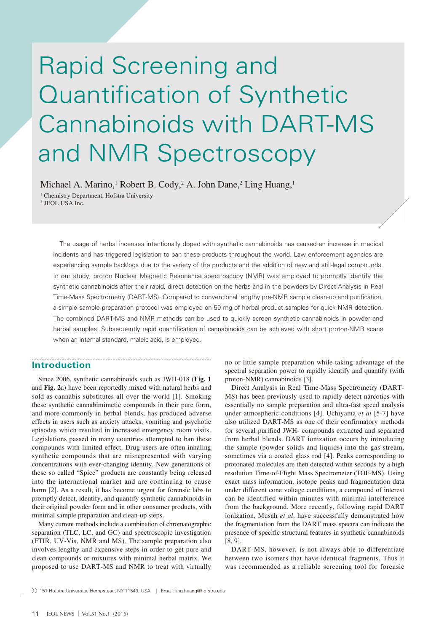# Rapid Screening and Quantification of Synthetic Cannabinoids with DART-MS and NMR Spectroscopy

Michael A. Marino,<sup>1</sup> Robert B. Cody,<sup>2</sup> A. John Dane,<sup>2</sup> Ling Huang,<sup>1</sup>

<sup>1</sup> Chemistry Department, Hofstra University

2 JEOL USA Inc.

The usage of herbal incenses intentionally doped with synthetic cannabinoids has caused an increase in medical incidents and has triggered legislation to ban these products throughout the world. Law enforcement agencies are experiencing sample backlogs due to the variety of the products and the addition of new and still-legal compounds. In our study, proton Nuclear Magnetic Resonance spectroscopy (NMR) was employed to promptly identify the synthetic cannabinoids after their rapid, direct detection on the herbs and in the powders by Direct Analysis in Real Time-Mass Spectrometry (DART-MS). Compared to conventional lengthy pre-NMR sample clean-up and purification, a simple sample preparation protocol was employed on 50 mg of herbal product samples for quick NMR detection. The combined DART-MS and NMR methods can be used to quickly screen synthetic cannabinoids in powder and herbal samples. Subsequently rapid quantification of cannabinoids can be achieved with short proton-NMR scans when an internal standard, maleic acid, is employed.

#### **Introduction**

. . . . . . . .

Since 2006, synthetic cannabinoids such as JWH-018 (**Fig. 1**  and **Fig. 2**a) have been reportedly mixed with natural herbs and sold as cannabis substitutes all over the world [1]. Smoking these synthetic cannabimimetic compounds in their pure form, and more commonly in herbal blends, has produced adverse effects in users such as anxiety attacks, vomiting and psychotic episodes which resulted in increased emergency room visits. Legislations passed in many countries attempted to ban these compounds with limited effect. Drug users are often inhaling synthetic compounds that are misrepresented with varying concentrations with ever-changing identity. New generations of these so called "Spice" products are constantly being released into the international market and are continuing to cause harm [2]. As a result, it has become urgent for forensic labs to promptly detect, identify, and quantify synthetic cannabinoids in their original powder form and in other consumer products, with minimal sample preparation and clean-up steps.

Many current methods include a combination of chromatographic separation (TLC, LC, and GC) and spectroscopic investigation (FTIR, UV-Vis, NMR and MS). The sample preparation also involves lengthy and expensive steps in order to get pure and clean compounds or mixtures with minimal herbal matrix. We proposed to use DART-MS and NMR to treat with virtually

no or little sample preparation while taking advantage of the spectral separation power to rapidly identify and quantify (with proton-NMR) cannabinoids [3].

Direct Analysis in Real Time-Mass Spectrometry (DART-MS) has been previously used to rapidly detect narcotics with essentially no sample preparation and ultra-fast speed analysis under atmospheric conditions [4]. Uchiyama *et al* [5-7] have also utilized DART-MS as one of their confirmatory methods for several purified JWH- compounds extracted and separated from herbal blends. DART ionization occurs by introducing the sample (powder solids and liquids) into the gas stream, sometimes via a coated glass rod [4]. Peaks corresponding to protonated molecules are then detected within seconds by a high resolution Time-of-Flight Mass Spectrometer (TOF-MS). Using exact mass information, isotope peaks and fragmentation data under different cone voltage conditions, a compound of interest can be identified within minutes with minimal interference from the background. More recently, following rapid DART ionization, Musah *et al*. have successfully demonstrated how the fragmentation from the DART mass spectra can indicate the presence of specific structural features in synthetic cannabinoids [8, 9].

DART-MS, however, is not always able to differentiate between two isomers that have identical fragments. Thus it was recommended as a reliable screening tool for forensic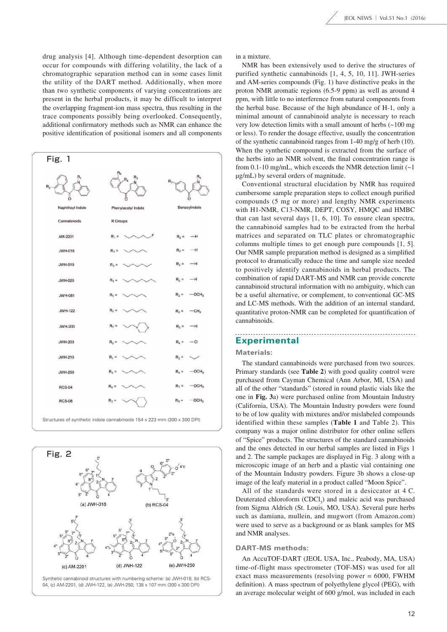drug analysis [4]. Although time-dependent desorption can occur for compounds with differing volatility, the lack of a chromatographic separation method can in some cases limit the utility of the DART method. Additionally, when more than two synthetic components of varying concentrations are present in the herbal products, it may be difficult to interpret the overlapping fragment-ion mass spectra, thus resulting in the trace components possibly being overlooked. Consequently, additional confirmatory methods such as NMR can enhance the positive identification of positional isomers and all components





in a mixture.

NMR has been extensively used to derive the structures of purified synthetic cannabinoids [1, 4, 5, 10, 11]. JWH-series and AM-series compounds (Fig. 1) have distinctive peaks in the proton NMR aromatic regions (6.5-9 ppm) as well as around 4 ppm, with little to no interference from natural components from the herbal base. Because of the high abundance of H-1, only a minimal amount of cannabinoid analyte is necessary to reach very low detection limits with a small amount of herbs (~100 mg or less). To render the dosage effective, usually the concentration of the synthetic cannabinoid ranges from 1-40 mg/g of herb (10). When the synthetic compound is extracted from the surface of the herbs into an NMR solvent, the final concentration range is from 0.1-10 mg/mL, which exceeds the NMR detection limit (~1 μg/mL) by several orders of magnitude.

Conventional structural elucidation by NMR has required cumbersome sample preparation steps to collect enough purified compounds (5 mg or more) and lengthy NMR experiments with H1-NMR, C13-NMR, DEPT, COSY, HMQC and HMBC that can last several days [1, 6, 10]. To ensure clean spectra, the cannabinoid samples had to be extracted from the herbal matrices and separated on TLC plates or chromatographic columns multiple times to get enough pure compounds [1, 5]. Our NMR sample preparation method is designed as a simplified protocol to dramatically reduce the time and sample size needed to positively identify cannabinoids in herbal products. The combination of rapid DART-MS and NMR can provide concrete cannabinoid structural information with no ambiguity, which can be a useful alternative, or complement, to conventional GC-MS and LC-MS methods. With the addition of an internal standard, quantitative proton-NMR can be completed for quantification of cannabinoids.

## **Experimental**

#### **Materials:**

The standard cannabinoids were purchased from two sources. Primary standards (see **Table 2**) with good quality control were purchased from Cayman Chemical (Ann Arbor, MI, USA) and all of the other "standards" (stored in round plastic vials like the one in **Fig. 3**a) were purchased online from Mountain Industry (California, USA). The Mountain Industry powders were found to be of low quality with mixtures and/or mislabeled compounds identified within these samples (**Table 1** and Table 2). This company was a major online distributor for other online sellers of "Spice" products. The structures of the standard cannabinoids and the ones detected in our herbal samples are listed in Figs 1 and 2. The sample packages are displayed in Fig. 3 along with a microscopic image of an herb and a plastic vial containing one of the Mountain Industry powders. Figure 3b shows a close-up image of the leafy material in a product called "Moon Spice".

All of the standards were stored in a desiccator at 4 C. Deuterated chloroform  $(CDCl_3)$  and maleic acid was purchased from Sigma Aldrich (St. Louis, MO, USA). Several pure herbs such as damiana, mullein, and mugwort (from Amazon.com) were used to serve as a background or as blank samples for MS and NMR analyses.

#### **DART-MS methods:**

An AccuTOF-DART (JEOL USA, Inc., Peabody, MA, USA) time-of-flight mass spectrometer (TOF-MS) was used for all exact mass measurements (resolving power = 6000, FWHM definition). A mass spectrum of polyethylene glycol (PEG), with an average molecular weight of 600 g/mol, was included in each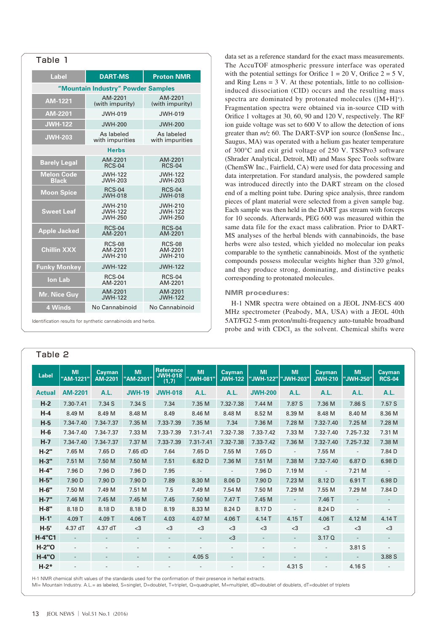| Table 1                            |                                                    |                                                    |  |  |  |  |  |  |  |
|------------------------------------|----------------------------------------------------|----------------------------------------------------|--|--|--|--|--|--|--|
| <b>Label</b>                       | <b>DART-MS</b>                                     | <b>Proton NMR</b>                                  |  |  |  |  |  |  |  |
| "Mountain Industry" Powder Samples |                                                    |                                                    |  |  |  |  |  |  |  |
| AM-1221                            | AM-2201<br>(with impurity)                         | AM-2201<br>(with impurity)                         |  |  |  |  |  |  |  |
| AM-2201                            | JWH-019                                            | JWH-019                                            |  |  |  |  |  |  |  |
| <b>JWH-122</b>                     | <b>JWH-200</b>                                     | <b>JWH-200</b>                                     |  |  |  |  |  |  |  |
| <b>JWH-203</b>                     | As labeled<br>with impurities                      | As labeled<br>with impurities                      |  |  |  |  |  |  |  |
| <b>Herbs</b>                       |                                                    |                                                    |  |  |  |  |  |  |  |
| <b>Barely Legal</b>                | AM-2201<br><b>RCS-04</b>                           | AM-2201<br><b>RCS-04</b>                           |  |  |  |  |  |  |  |
| <b>Melon Code</b><br><b>Black</b>  | <b>JWH-122</b><br><b>JWH-203</b>                   | <b>JWH-122</b><br><b>JWH-203</b>                   |  |  |  |  |  |  |  |
| <b>Moon Spice</b>                  | <b>RCS-04</b><br><b>JWH-018</b>                    | <b>RCS-04</b><br>JWH-018                           |  |  |  |  |  |  |  |
| <b>Sweet Leaf</b>                  | <b>JWH-210</b><br><b>JWH-122</b><br><b>JWH-250</b> | <b>JWH-210</b><br><b>JWH-122</b><br><b>JWH-250</b> |  |  |  |  |  |  |  |
| <b>Apple Jacked</b>                | <b>RCS-04</b><br>AM-2201                           | <b>RCS-04</b><br>AM-2201                           |  |  |  |  |  |  |  |
| <b>Chillin XXX</b>                 | <b>RCS-08</b><br>AM-2201<br><b>JWH-210</b>         | <b>RCS-08</b><br>AM-2201<br><b>JWH-210</b>         |  |  |  |  |  |  |  |
| <b>Funky Monkey</b>                | <b>JWH-122</b>                                     | <b>JWH-122</b>                                     |  |  |  |  |  |  |  |
| <b>Ion Lab</b>                     | <b>RCS-04</b><br>AM-2201                           | <b>RCS-04</b><br>AM-2201                           |  |  |  |  |  |  |  |
| <b>Mr. Nice Guy</b>                | AM-2201<br><b>JWH-122</b>                          | AM-2201<br><b>JWH-122</b>                          |  |  |  |  |  |  |  |
| <b>4 Winds</b>                     | No Cannabinoid                                     | No Cannabinoid                                     |  |  |  |  |  |  |  |

Identification results for synthetic cannabinoids and herbs.

# Table 2

data set as a reference standard for the exact mass measurements. The AccuTOF atmospheric pressure interface was operated with the potential settings for Orifice  $1 = 20$  V, Orifice  $2 = 5$  V, and Ring Lens  $= 3$  V. At these potentials, little to no collisioninduced dissociation (CID) occurs and the resulting mass spectra are dominated by protonated molecules ( $[M+H]^+$ ). Fragmentation spectra were obtained via in-source CID with Orifice 1 voltages at 30, 60, 90 and 120 V, respectively. The RF ion guide voltage was set to 600 V to allow the detection of ions greater than *m/z* 60. The DART-SVP ion source (IonSense Inc., Saugus, MA) was operated with a helium gas heater temperature of 300°C and exit grid voltage of 250 V. TSSPro3 software (Shrader Analytical, Detroit, MI) and Mass Spec Tools software (ChemSW Inc., Fairfield, CA) were used for data processing and data interpretation. For standard analysis, the powdered sample was introduced directly into the DART stream on the closed end of a melting point tube. During spice analysis, three random pieces of plant material were selected from a given sample bag. Each sample was then held in the DART gas stream with forceps for 10 seconds. Afterwards, PEG 600 was measured within the same data file for the exact mass calibration. Prior to DART-MS analyses of the herbal blends with cannabinoids, the base herbs were also tested, which yielded no molecular ion peaks comparable to the synthetic cannabinoids. Most of the synthetic compounds possess molecular weights higher than 320 g/mol, and they produce strong, dominating, and distinctive peaks corresponding to protonated molecules.

#### **NMR procedures:**

H-1 NMR spectra were obtained on a JEOL JNM-ECS 400 MHz spectrometer (Peabody, MA, USA) with a JEOL 40th 5AT/FG2 5-mm proton/multi-frequency auto-tunable broadband probe and with  $CDCI<sub>3</sub>$  as the solvent. Chemical shifts were

| <b>Label</b>  | <b>MI</b><br>"AM-1221"   | <b>Cayman</b><br>AM-2201 | <b>MI</b><br>"AM-2201"   | <b>Reference</b><br><b>JWH-018</b><br>(1,7) | MI<br>"JWH-081"          | <b>Cavman</b><br><b>JWH-122</b> | MI<br>"JWH-122"          | <b>MI</b><br>"JWH-203"   | Cayman<br><b>JWH-210</b> | <b>MI</b><br>"JWH-250"   | <b>Cayman</b><br><b>RCS-04</b> |
|---------------|--------------------------|--------------------------|--------------------------|---------------------------------------------|--------------------------|---------------------------------|--------------------------|--------------------------|--------------------------|--------------------------|--------------------------------|
| <b>Actual</b> | <b>AM-2201</b>           | A.L.                     | <b>JWH-19</b>            | <b>JWH-018</b>                              | A.L.                     | A.L.                            | <b>JWH-200</b>           | A.L.                     | <b>A.L.</b>              | A.L.                     | A.L.                           |
| $H-2$         | 7.30-7.41                | 7.34 S                   | 7.34 S                   | 7.34                                        | 7.35 M                   | 7.32-7.38                       | 7.44 M                   | 7.87 S                   | 7.36 M                   | 7.86 S                   | 7.57S                          |
| $H-4$         | 8.49 M                   | 8.49 M                   | 8.48 M                   | 8.49                                        | 8.46 M                   | 8.48 M                          | 8.52 M                   | 8.39 M                   | 8.48 M                   | 8.40 M                   | 8.36 M                         |
| $H-5$         | 7.34-7.40                | 7.34-7.37                | 7.35 M                   | 7.33-7.39                                   | 7.35 M                   | 7.34                            | 7.36 M                   | 7.28 M                   | 7.32-7.40                | 7.25 M                   | 7.28 M                         |
| $H-6$         | 7.34-7.40                | 7.34-7.37                | 7.33 M                   | 7.33-7.39                                   | 7.31-7.41                | 7.32-7.38                       | 7.33-7.42                | 7.33 M                   | 7.32-7.40                | 7.25-7.32                | 7.31 M                         |
| $H-7$         | 7.34-7.40                | 7.34-7.37                | 7.37 M                   | 7.33-7.39                                   | 7.31-7.41                | 7.32-7.38                       | 7.33-7.42                | 7.36 M                   | 7.32-7.40                | 7.25-7.32                | 7.38 M                         |
| $H-2"$        | 7.65 M                   | 7.65 D                   | 7.65 dD                  | 7.64                                        | 7.65 D                   | 7.55 M                          | 7.65 D                   | $\sim$                   | 7.55 M                   | $\overline{\phantom{a}}$ | 7.84 D                         |
| $H-3"$        | 7.51 M                   | 7.50 M                   | 7.50 M                   | 7.51                                        | 6.82 D                   | 7.36 M                          | 7.51 M                   | 7.38 M                   | 7.32-7.40                | 6.87 D                   | 6.98 D                         |
| $H-4"$        | 7.96 D                   | 7.96 D                   | 7.96 D                   | 7.95                                        | $\overline{\phantom{a}}$ | $\overline{\phantom{a}}$        | 7.96 D                   | 7.19 M                   | $\overline{\phantom{a}}$ | 7.21 M                   | $\overline{\phantom{a}}$       |
| $H-5"$        | 7.90 D                   | 7.90 D                   | 7.90 D                   | 7.89                                        | 8.30 M                   | 8.06 D                          | 7.90 D                   | 7.23 M                   | 8.12 D                   | 6.91 T                   | 6.98 D                         |
| H-6"          | 7.50 M                   | 7.49 M                   | 7.51 M                   | 7.5                                         | 7.49 M                   | 7.54 M                          | 7.50 M                   | 7.29 M                   | 7.55 M                   | 7.29 M                   | 7.84 D                         |
| $H-7"$        | 7.46 M                   | 7.45 M                   | 7.45 M                   | 7.45                                        | 7.50 M                   | 7.47 T                          | 7.45 M                   | $\overline{\phantom{a}}$ | 7.46 T                   |                          |                                |
| H-8"          | 8.18 D                   | 8.18 D                   | 8.18 D                   | 8.19                                        | 8.33 M                   | 8.24 D                          | 8.17 D                   | $\overline{\phantom{a}}$ | 8.24 D                   |                          |                                |
| $H-1'$        | $4.09$ T                 | $4.09$ T                 | 4.06T                    | 4.03                                        | 4.07 M                   | $4.06$ T                        | $4.14$ T                 | $4.15$ T                 | $4.06$ T                 | 4.12 M                   | 4.14 T                         |
| $H-5'$        | 4.37 dT                  | 4.37 dT                  | $<$ 3                    | $3$                                         | $<$ 3                    | $<$ 3                           | $<$ 3                    | $<$ 3                    | $<$ 3                    | $<$ 3                    | $<$ 3                          |
| <b>H-4"C1</b> | $\overline{\phantom{a}}$ |                          | $\overline{\phantom{a}}$ | $\overline{\phantom{a}}$                    |                          | $3$                             | $\overline{\phantom{a}}$ | $\overline{\phantom{a}}$ | 3.17Q                    |                          |                                |
| $H-2"O$       | $\overline{\phantom{a}}$ | $\overline{\phantom{0}}$ | $\overline{\phantom{0}}$ | $\overline{a}$                              |                          |                                 |                          | $\overline{a}$           | $\overline{\phantom{a}}$ | 3.81 S                   | $\overline{\phantom{a}}$       |
| <b>H-4"O</b>  | $\overline{\phantom{a}}$ | $\overline{\phantom{0}}$ | $\qquad \qquad -$        | $\overline{\phantom{a}}$                    | 4.05 S                   |                                 |                          | $\qquad \qquad -$        | $\overline{a}$           |                          | 3.88 S                         |
| $H-2*$        |                          |                          | $\overline{a}$           | $\overline{a}$                              |                          |                                 |                          | 4.31 S                   | $\overline{\phantom{a}}$ | 4.16 S                   |                                |

H-1 NMR chemical shift values of the standards used for the confirmation of their presence in herbal extracts.

MI= Mountain Industry. A.L.= as labeled, S=singlet, D=doublet, T=triplet, Q=quadruplet, M=multiplet, dD=doublet of doublets, dT=doublet of triplets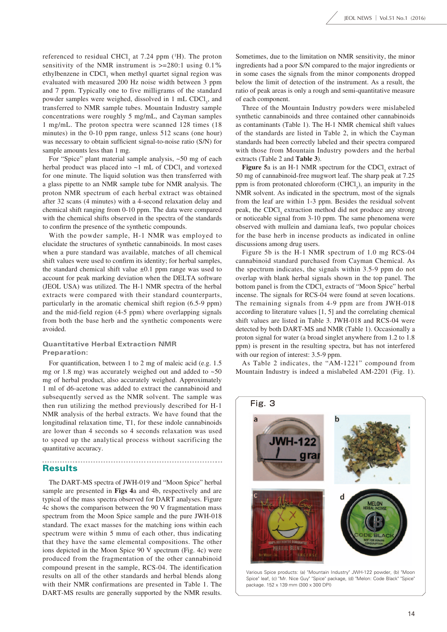referenced to residual CHCl<sub>3</sub> at 7.24 ppm  $(^1H)$ . The proton sensitivity of the NMR instrument is  $\ge$ =280:1 using 0.1% ethylbenzene in CDCl<sub>3</sub> when methyl quartet signal region was evaluated with measured 200 Hz noise width between 3 ppm and 7 ppm. Typically one to five milligrams of the standard powder samples were weighed, dissolved in 1 mL CDCl<sub>3</sub>, and transferred to NMR sample tubes. Mountain Industry sample concentrations were roughly 5 mg/mL, and Cayman samples 1 mg/mL. The proton spectra were scanned 128 times (18 minutes) in the 0-10 ppm range, unless 512 scans (one hour) was necessary to obtain sufficient signal-to-noise ratio (S/N) for sample amounts less than 1 mg.

For "Spice" plant material sample analysis, ~50 mg of each herbal product was placed into  $\sim$ 1 mL of CDCl<sub>3</sub> and vortexed for one minute. The liquid solution was then transferred with a glass pipette to an NMR sample tube for NMR analysis. The proton NMR spectrum of each herbal extract was obtained after 32 scans (4 minutes) with a 4-second relaxation delay and chemical shift ranging from 0-10 ppm. The data were compared with the chemical shifts observed in the spectra of the standards to confirm the presence of the synthetic compounds.

With the powder sample, H-1 NMR was employed to elucidate the structures of synthetic cannabinoids. In most cases when a pure standard was available, matches of all chemical shift values were used to confirm its identity; for herbal samples, the standard chemical shift value  $\pm 0.1$  ppm range was used to account for peak marking deviation when the DELTA software (JEOL USA) was utilized. The H-1 NMR spectra of the herbal extracts were compared with their standard counterparts, particularly in the aromatic chemical shift region (6.5-9 ppm) and the mid-field region (4-5 ppm) where overlapping signals from both the base herb and the synthetic components were avoided.

### **Quantitative Herbal Extraction NMR Preparation:**

For quantification, between 1 to 2 mg of maleic acid (e.g. 1.5 mg or 1.8 mg) was accurately weighed out and added to  $~50$ mg of herbal product, also accurately weighed. Approximately 1 ml of d6-acetone was added to extract the cannabinoid and subsequently served as the NMR solvent. The sample was then run utilizing the method previously described for H-1 NMR analysis of the herbal extracts. We have found that the longitudinal relaxation time, T1, for these indole cannabinoids are lower than 4 seconds so 4 seconds relaxation was used to speed up the analytical process without sacrificing the quantitative accuracy.

## **Results**

The DART-MS spectra of JWH-019 and "Moon Spice" herbal sample are presented in **Figs 4**a and 4b, respectively and are typical of the mass spectra observed for DART analyses. Figure 4c shows the comparison between the 90 V fragmentation mass spectrum from the Moon Spice sample and the pure JWH-018 standard. The exact masses for the matching ions within each spectrum were within 5 mmu of each other, thus indicating that they have the same elemental compositions. The other ions depicted in the Moon Spice 90 V spectrum (Fig. 4c) were produced from the fragmentation of the other cannabinoid compound present in the sample, RCS-04. The identification results on all of the other standards and herbal blends along with their NMR confirmations are presented in Table 1. The DART-MS results are generally supported by the NMR results.

Sometimes, due to the limitation on NMR sensitivity, the minor ingredients had a poor S/N compared to the major ingredients or in some cases the signals from the minor components dropped below the limit of detection of the instrument. As a result, the ratio of peak areas is only a rough and semi-quantitative measure of each component.

Three of the Mountain Industry powders were mislabeled synthetic cannabinoids and three contained other cannabinoids as contaminants (Table 1). The H-1 NMR chemical shift values of the standards are listed in Table 2, in which the Cayman standards had been correctly labeled and their spectra compared with those from Mountain Industry powders and the herbal extracts (Table 2 and **Table 3**).

Figure 5a is an H-1 NMR spectrum for the CDCl<sub>3</sub> extract of 50 mg of cannabinoid-free mugwort leaf. The sharp peak at 7.25 ppm is from protonated chloroform  $(CHCl<sub>3</sub>)$ , an impurity in the NMR solvent. As indicated in the spectrum, most of the signals from the leaf are within 1-3 ppm. Besides the residual solvent peak, the CDCl<sub>3</sub> extraction method did not produce any strong or noticeable signal from 3-10 ppm. The same phenomena were observed with mullein and damiana leafs, two popular choices for the base herb in incense products as indicated in online discussions among drug users.

Figure 5b is the H-1 NMR spectrum of 1.0 mg RCS-04 cannabinoid standard purchased from Cayman Chemical. As the spectrum indicates, the signals within 3.5-9 ppm do not overlap with blank herbal signals shown in the top panel. The bottom panel is from the CDCl<sub>3</sub> extracts of "Moon Spice" herbal incense. The signals for RCS-04 were found at seven locations. The remaining signals from 4-9 ppm are from JWH-018 according to literature values [1, 5] and the correlating chemical shift values are listed in Table 3. JWH-018 and RCS-04 were detected by both DART-MS and NMR (Table 1). Occasionally a proton signal for water (a broad singlet anywhere from 1.2 to 1.8 ppm) is present in the resulting spectra, but has not interfered with our region of interest: 3.5-9 ppm.

As Table 2 indicates, the "AM-1221" compound from Mountain Industry is indeed a mislabeled AM-2201 (Fig. 1).



Various Spice products: (a) "Mountain Industry" JWH-122 powder, (b) "Moon Spice" leaf, (c) "Mr. Nice Guy" "Spice" package, (d) "Melon: Code Black" "Spice" package. 152 x 139 mm (300 x 300 DPI)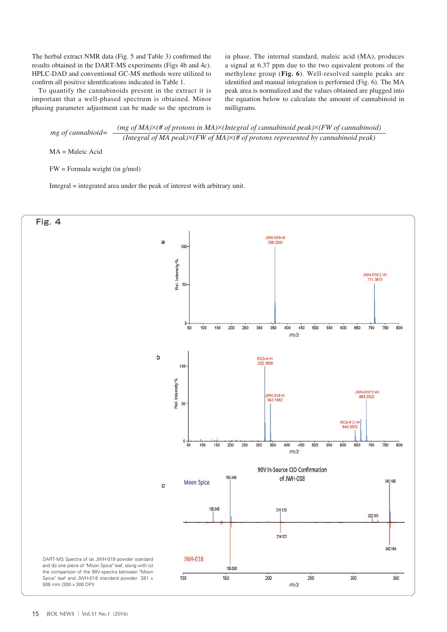The herbal extract NMR data (Fig. 5 and Table 3) confirmed the results obtained in the DART-MS experiments (Figs 4b and 4c). HPLC-DAD and conventional GC-MS methods were utilized to confirm all positive identifications indicated in Table 1.

To quantify the cannabinoids present in the extract it is important that a well-phased spectrum is obtained. Minor phasing parameter adjustment can be made so the spectrum is in phase. The internal standard, maleic acid (MA), produces a signal at 6.37 ppm due to the two equivalent protons of the methylene group (**Fig. 6**). Well-resolved sample peaks are identified and manual integration is performed (Fig. 6). The MA peak area is normalized and the values obtained are plugged into the equation below to calculate the amount of cannabinoid in milligrams.

$$
mg \ of \text{canonical} = \frac{(mg \ of MA) \times (\# \ of \text{ protons in MA}) \times (Integral \ of \text{ canonical peak}) \times (FW \ of \text{ canonical})}{(Integral \ of MA \text{ peak}) \times (FW \ of MA) \times (\# \ of \text{ protons represented by } \text{canonical peak})}
$$

MA = Maleic Acid

FW = Formula weight (in g/mol)

Integral = integrated area under the peak of interest with arbitrary unit.

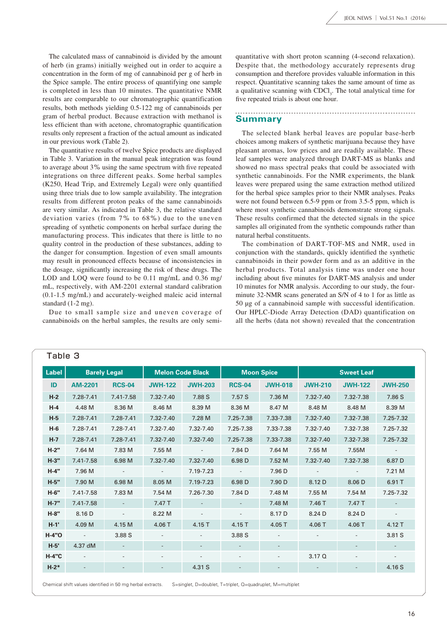The calculated mass of cannabinoid is divided by the amount of herb (in grams) initially weighed out in order to acquire a concentration in the form of mg of cannabinoid per g of herb in the Spice sample. The entire process of quantifying one sample is completed in less than 10 minutes. The quantitative NMR results are comparable to our chromatographic quantification results, both methods yielding 0.5-122 mg of cannabinoids per gram of herbal product. Because extraction with methanol is less efficient than with acetone, chromatographic quantification results only represent a fraction of the actual amount as indicated in our previous work (Table 2).

The quantitative results of twelve Spice products are displayed in Table 3. Variation in the manual peak integration was found to average about 3% using the same spectrum with five repeated integrations on three different peaks. Some herbal samples (K250, Head Trip, and Extremely Legal) were only quantified using three trials due to low sample availability. The integration results from different proton peaks of the same cannabinoids are very similar. As indicated in Table 3, the relative standard deviation varies (from 7% to 68%) due to the uneven spreading of synthetic components on herbal surface during the manufacturing process. This indicates that there is little to no quality control in the production of these substances, adding to the danger for consumption. Ingestion of even small amounts may result in pronounced effects because of inconsistencies in the dosage, significantly increasing the risk of these drugs. The LOD and LOQ were found to be 0.11 mg/mL and 0.36 mg/ mL, respectively, with AM-2201 external standard calibration (0.1-1.5 mg/mL) and accurately-weighed maleic acid internal standard (1-2 mg).

Due to small sample size and uneven coverage of cannabinoids on the herbal samples, the results are only semiquantitative with short proton scanning (4-second relaxation). Despite that, the methodology accurately represents drug consumption and therefore provides valuable information in this respect. Quantitative scanning takes the same amount of time as a qualitative scanning with CDCl<sub>3</sub>. The total analytical time for five repeated trials is about one hour.

# **Summary**

The selected blank herbal leaves are popular base-herb choices among makers of synthetic marijuana because they have pleasant aromas, low prices and are readily available. These leaf samples were analyzed through DART-MS as blanks and showed no mass spectral peaks that could be associated with synthetic cannabinoids. For the NMR experiments, the blank leaves were prepared using the same extraction method utilized for the herbal spice samples prior to their NMR analyses. Peaks were not found between 6.5-9 ppm or from 3.5-5 ppm, which is where most synthetic cannabinoids demonstrate strong signals. These results confirmed that the detected signals in the spice samples all originated from the synthetic compounds rather than natural herbal constituents.

The combination of DART-TOF-MS and NMR, used in conjunction with the standards, quickly identified the synthetic cannabinoids in their powder form and as an additive in the herbal products. Total analysis time was under one hour including about five minutes for DART-MS analysis and under 10 minutes for NMR analysis. According to our study, the fourminute 32-NMR scans generated an S/N of 4 to 1 for as little as 50 μg of a cannabinoid sample with successful identification. Our HPLC-Diode Array Detection (DAD) quantification on all the herbs (data not shown) revealed that the concentration

| Label        | <b>Barely Legal</b>      |                          | <b>Melon Code Black</b>  |                          | <b>Moon Spice</b>        |                | <b>Sweet Leaf</b> |                   |                          |  |  |
|--------------|--------------------------|--------------------------|--------------------------|--------------------------|--------------------------|----------------|-------------------|-------------------|--------------------------|--|--|
| ID           | <b>AM-2201</b>           | <b>RCS-04</b>            | <b>JWH-122</b>           | <b>JWH-203</b>           | <b>RCS-04</b>            | <b>JWH-018</b> | <b>JWH-210</b>    | <b>JWH-122</b>    | <b>JWH-250</b>           |  |  |
| $H-2$        | 7.28-7.41                | 7.41-7.58                | 7.32-7.40                | 7.88 S                   | 7.57 S                   | 7.36 M         | 7.32-7.40         | 7.32-7.38         | 7.86 S                   |  |  |
| $H-4$        | 4.48 M                   | 8.36 M                   | 8.46 M                   | 8.39 M                   | 8.36 M                   | 8.47 M         | 8.48 M            | 8.48 M            | 8.39 M                   |  |  |
| $H-5$        | 7.28-7.41                | 7.28-7.41                | 7.32-7.40                | 7.28 M                   | 7.25-7.38                | 7.33-7.38      | 7.32-7.40         | 7.32-7.38         | 7.25-7.32                |  |  |
| $H-6$        | 7.28-7.41                | 7.28-7.41                | 7.32-7.40                | 7.32-7.40                | 7.25-7.38                | 7.33-7.38      | 7.32-7.40         | 7.32-7.38         | 7.25-7.32                |  |  |
| $H-7$        | 7.28-7.41                | 7.28-7.41                | 7.32-7.40                | 7.32-7.40                | 7.25-7.38                | 7.33-7.38      | 7.32-7.40         | 7.32-7.38         | 7.25-7.32                |  |  |
| $H-2"$       | 7.64 M                   | 7.83 M                   | 7.55 M                   |                          | 7.84 D                   | 7.64 M         | 7.55 M            | 7.55M             |                          |  |  |
| $H-3"$       | 7.41-7.58                | 6.98 M                   | 7.32-7.40                | 7.32-7.40                | 6.98 D                   | 7.52 M         | 7.32-7.40         | 7.32-7.38         | 6.87 D                   |  |  |
| $H-4"$       | 7.96 M                   |                          | $\sim$                   | 7.19-7.23                |                          | 7.96 D         |                   | $\sim$            | 7.21 M                   |  |  |
| $H-5"$       | 7.90 M                   | 6.98 M                   | 8.05 M                   | 7.19-7.23                | 6.98 D                   | 7.90 D         | 8.12 D            | 8.06 D            | 6.91 T                   |  |  |
| H-6"         | 7.41-7.58                | 7.83 M                   | 7.54 M                   | 7.26-7.30                | 7.84 D                   | 7.48 M         | 7.55 M            | 7.54 M            | 7.25-7.32                |  |  |
| $H-7"$       | 7.41-7.58                | $\sim$                   | 7.47 T                   |                          |                          | 7.48 M         | 7.46 T            | 7.47 T            |                          |  |  |
| H-8"         | 8.16 D                   | $\overline{\phantom{a}}$ | 8.22 M                   | $\overline{\phantom{a}}$ |                          | 8.17 D         | 8.24 D            | 8.24 D            |                          |  |  |
| $H-1'$       | 4.09 M                   | 4.15 M                   | 4.06T                    | 4.15 T                   | 4.15 T                   | $4.05$ T       | 4.06T             | $4.06$ T          | 4.12 T                   |  |  |
| <b>H-4"O</b> | $\overline{\phantom{a}}$ | 3.88 S                   |                          |                          | 3.88 S                   |                |                   |                   | 3.81 S                   |  |  |
| $H-5'$       | 4.37 dM                  |                          |                          |                          |                          |                |                   |                   |                          |  |  |
| <b>H-4"C</b> | $\overline{\phantom{a}}$ |                          | $\overline{\phantom{a}}$ |                          | $\overline{\phantom{a}}$ |                | 3.17 Q            | $\qquad \qquad -$ | $\overline{\phantom{a}}$ |  |  |
| $H-2*$       | $\overline{\phantom{a}}$ |                          |                          | 4.31 S                   |                          |                |                   |                   | 4.16 S                   |  |  |

#### Table 3

Chemical shift values identified in 50 mg herbal extracts. S=singlet, D=doublet, T=triplet, Q=quadruplet, M=multiplet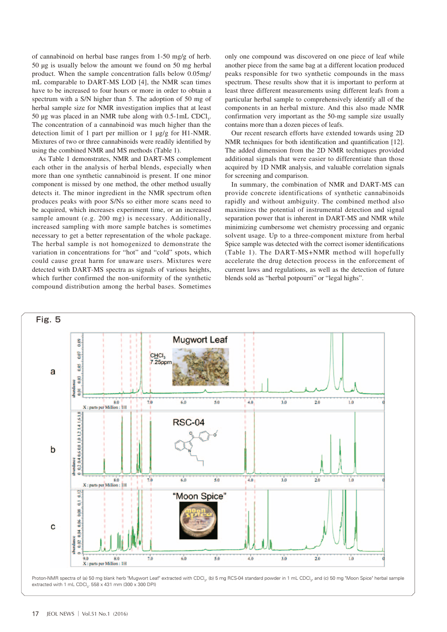of cannabinoid on herbal base ranges from 1-50 mg/g of herb. 50 μg is usually below the amount we found on 50 mg herbal product. When the sample concentration falls below 0.05mg/ mL comparable to DART-MS LOD [4], the NMR scan times have to be increased to four hours or more in order to obtain a spectrum with a S/N higher than 5. The adoption of 50 mg of herbal sample size for NMR investigation implies that at least 50 μg was placed in an NMR tube along with  $0.5$ -1mL CDCl<sub>3</sub>. The concentration of a cannabinoid was much higher than the detection limit of 1 part per million or 1 μg/g for H1-NMR. Mixtures of two or three cannabinoids were readily identified by using the combined NMR and MS methods (Table 1).

As Table 1 demonstrates, NMR and DART-MS complement each other in the analysis of herbal blends, especially when more than one synthetic cannabinoid is present. If one minor component is missed by one method, the other method usually detects it. The minor ingredient in the NMR spectrum often produces peaks with poor S/Ns so either more scans need to be acquired, which increases experiment time, or an increased sample amount (e.g. 200 mg) is necessary. Additionally, increased sampling with more sample batches is sometimes necessary to get a better representation of the whole package. The herbal sample is not homogenized to demonstrate the variation in concentrations for "hot" and "cold" spots, which could cause great harm for unaware users. Mixtures were detected with DART-MS spectra as signals of various heights, which further confirmed the non-uniformity of the synthetic compound distribution among the herbal bases. Sometimes only one compound was discovered on one piece of leaf while another piece from the same bag at a different location produced peaks responsible for two synthetic compounds in the mass spectrum. These results show that it is important to perform at least three different measurements using different leafs from a particular herbal sample to comprehensively identify all of the components in an herbal mixture. And this also made NMR confirmation very important as the 50-mg sample size usually contains more than a dozen pieces of leafs.

Our recent research efforts have extended towards using 2D NMR techniques for both identification and quantification [12]. The added dimension from the 2D NMR techniques provided additional signals that were easier to differentiate than those acquired by 1D NMR analysis, and valuable correlation signals for screening and comparison.

In summary, the combination of NMR and DART-MS can provide concrete identifications of synthetic cannabinoids rapidly and without ambiguity. The combined method also maximizes the potential of instrumental detection and signal separation power that is inherent in DART-MS and NMR while minimizing cumbersome wet chemistry processing and organic solvent usage. Up to a three-component mixture from herbal Spice sample was detected with the correct isomer identifications (Table 1). The DART-MS+NMR method will hopefully accelerate the drug detection process in the enforcement of current laws and regulations, as well as the detection of future blends sold as "herbal potpourri" or "legal highs".



Proton-NMR spectra of (a) 50 mg blank herb "Mugwort Leaf" extracted with CDCl<sub>3</sub>, (b) 5 mg RCS-04 standard powder in 1 mL CDCl<sub>3</sub>, and (c) 50 mg "Moon Spice" herbal sample extracted with 1 mL CDCl<sub>3</sub>. 558 x 431 mm (300 x 300 DPI)